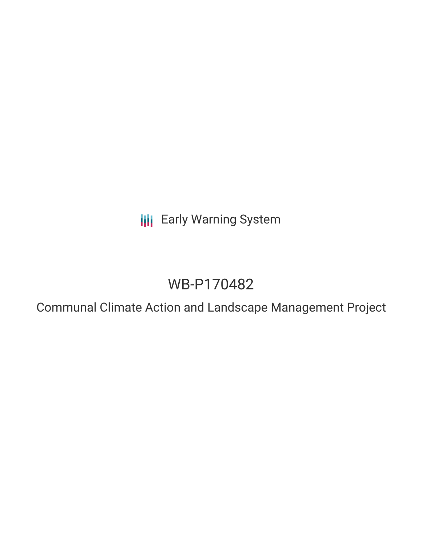**III** Early Warning System

# WB-P170482

Communal Climate Action and Landscape Management Project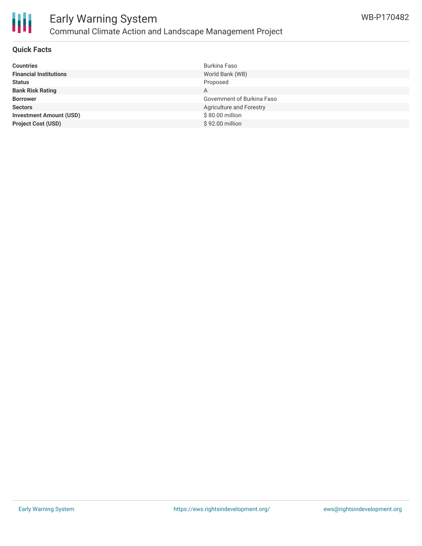

## **Quick Facts**

| <b>Countries</b>               | Burkina Faso               |
|--------------------------------|----------------------------|
| <b>Financial Institutions</b>  | World Bank (WB)            |
| <b>Status</b>                  | Proposed                   |
| <b>Bank Risk Rating</b>        | A                          |
| <b>Borrower</b>                | Government of Burkina Faso |
| <b>Sectors</b>                 | Agriculture and Forestry   |
| <b>Investment Amount (USD)</b> | \$80.00 million            |
| <b>Project Cost (USD)</b>      | \$92.00 million            |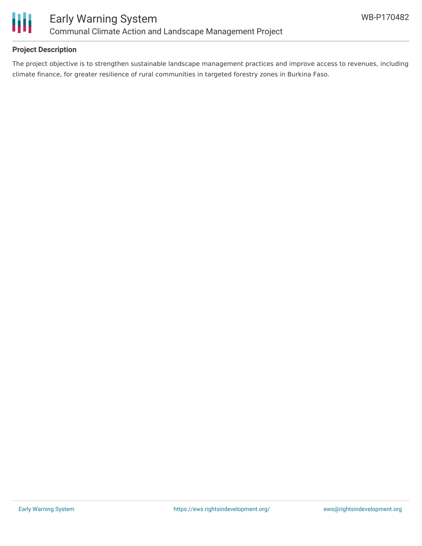

# **Project Description**

The project objective is to strengthen sustainable landscape management practices and improve access to revenues, including climate finance, for greater resilience of rural communities in targeted forestry zones in Burkina Faso.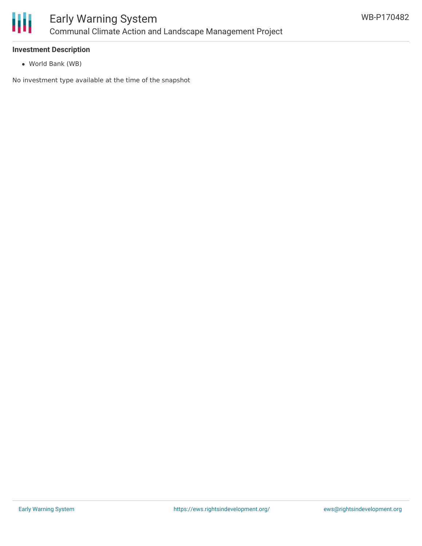

### **Investment Description**

World Bank (WB)

No investment type available at the time of the snapshot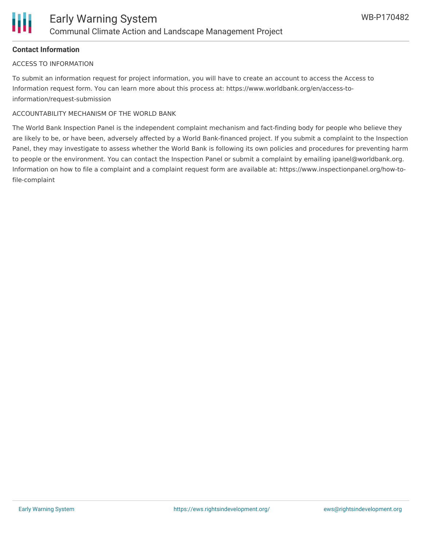# **Contact Information**

#### ACCESS TO INFORMATION

To submit an information request for project information, you will have to create an account to access the Access to Information request form. You can learn more about this process at: https://www.worldbank.org/en/access-toinformation/request-submission

#### ACCOUNTABILITY MECHANISM OF THE WORLD BANK

The World Bank Inspection Panel is the independent complaint mechanism and fact-finding body for people who believe they are likely to be, or have been, adversely affected by a World Bank-financed project. If you submit a complaint to the Inspection Panel, they may investigate to assess whether the World Bank is following its own policies and procedures for preventing harm to people or the environment. You can contact the Inspection Panel or submit a complaint by emailing ipanel@worldbank.org. Information on how to file a complaint and a complaint request form are available at: https://www.inspectionpanel.org/how-tofile-complaint